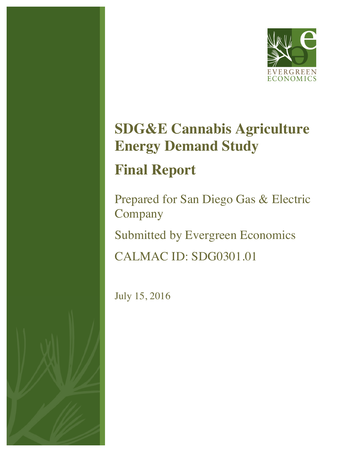

# **SDG&E Cannabis Agriculture Energy Demand Study Final Report**

# Prepared for San Diego Gas & Electric Company Submitted by Evergreen Economics CALMAC ID: SDG0301.01

July 15, 2016

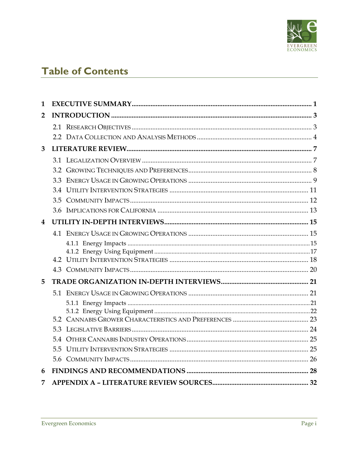

# **Table of Contents**

| 1              |  |
|----------------|--|
| $\overline{2}$ |  |
|                |  |
|                |  |
| 3              |  |
|                |  |
|                |  |
|                |  |
|                |  |
|                |  |
|                |  |
| 4              |  |
|                |  |
|                |  |
|                |  |
|                |  |
|                |  |
| 5              |  |
|                |  |
|                |  |
|                |  |
|                |  |
|                |  |
|                |  |
|                |  |
|                |  |
| 6              |  |
| 7              |  |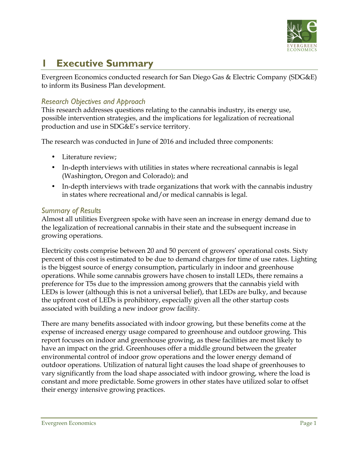

# **1 Executive Summary**

Evergreen Economics conducted research for San Diego Gas & Electric Company (SDG&E) to inform its Business Plan development.

#### *Research Objectives and Approach*

This research addresses questions relating to the cannabis industry, its energy use, possible intervention strategies, and the implications for legalization of recreational production and use in SDG&E's service territory.

The research was conducted in June of 2016 and included three components:

- Literature review;
- In-depth interviews with utilities in states where recreational cannabis is legal (Washington, Oregon and Colorado); and
- In-depth interviews with trade organizations that work with the cannabis industry in states where recreational and/or medical cannabis is legal.

#### *Summary of Results*

Almost all utilities Evergreen spoke with have seen an increase in energy demand due to the legalization of recreational cannabis in their state and the subsequent increase in growing operations.

Electricity costs comprise between 20 and 50 percent of growers' operational costs. Sixty percent of this cost is estimated to be due to demand charges for time of use rates. Lighting is the biggest source of energy consumption, particularly in indoor and greenhouse operations. While some cannabis growers have chosen to install LEDs, there remains a preference for T5s due to the impression among growers that the cannabis yield with LEDs is lower (although this is not a universal belief), that LEDs are bulky, and because the upfront cost of LEDs is prohibitory, especially given all the other startup costs associated with building a new indoor grow facility.

There are many benefits associated with indoor growing, but these benefits come at the expense of increased energy usage compared to greenhouse and outdoor growing. This report focuses on indoor and greenhouse growing, as these facilities are most likely to have an impact on the grid. Greenhouses offer a middle ground between the greater environmental control of indoor grow operations and the lower energy demand of outdoor operations. Utilization of natural light causes the load shape of greenhouses to vary significantly from the load shape associated with indoor growing, where the load is constant and more predictable. Some growers in other states have utilized solar to offset their energy intensive growing practices.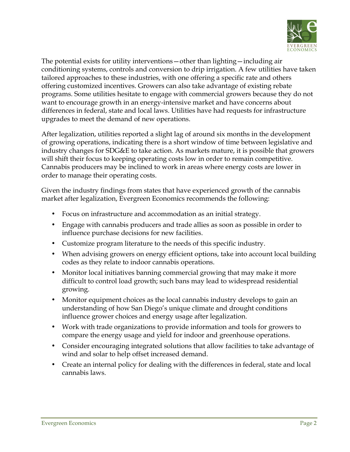

The potential exists for utility interventions—other than lighting—including air conditioning systems, controls and conversion to drip irrigation. A few utilities have taken tailored approaches to these industries, with one offering a specific rate and others offering customized incentives. Growers can also take advantage of existing rebate programs. Some utilities hesitate to engage with commercial growers because they do not want to encourage growth in an energy-intensive market and have concerns about differences in federal, state and local laws. Utilities have had requests for infrastructure upgrades to meet the demand of new operations.

After legalization, utilities reported a slight lag of around six months in the development of growing operations, indicating there is a short window of time between legislative and industry changes for SDG&E to take action. As markets mature, it is possible that growers will shift their focus to keeping operating costs low in order to remain competitive. Cannabis producers may be inclined to work in areas where energy costs are lower in order to manage their operating costs.

Given the industry findings from states that have experienced growth of the cannabis market after legalization, Evergreen Economics recommends the following:

- Focus on infrastructure and accommodation as an initial strategy.
- Engage with cannabis producers and trade allies as soon as possible in order to influence purchase decisions for new facilities.
- Customize program literature to the needs of this specific industry.
- When advising growers on energy efficient options, take into account local building codes as they relate to indoor cannabis operations.
- Monitor local initiatives banning commercial growing that may make it more difficult to control load growth; such bans may lead to widespread residential growing.
- Monitor equipment choices as the local cannabis industry develops to gain an understanding of how San Diego's unique climate and drought conditions influence grower choices and energy usage after legalization.
- Work with trade organizations to provide information and tools for growers to compare the energy usage and yield for indoor and greenhouse operations.
- Consider encouraging integrated solutions that allow facilities to take advantage of wind and solar to help offset increased demand.
- Create an internal policy for dealing with the differences in federal, state and local cannabis laws.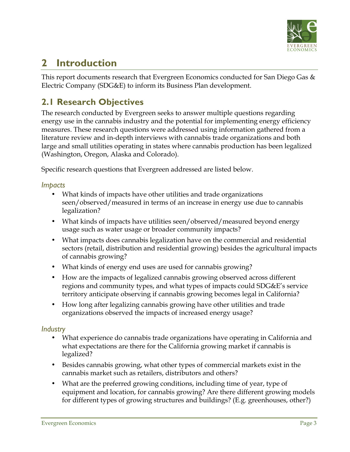

# **2 Introduction**

This report documents research that Evergreen Economics conducted for San Diego Gas  $\&$ Electric Company (SDG&E) to inform its Business Plan development.

# **2.1 Research Objectives**

The research conducted by Evergreen seeks to answer multiple questions regarding energy use in the cannabis industry and the potential for implementing energy efficiency measures. These research questions were addressed using information gathered from a literature review and in-depth interviews with cannabis trade organizations and both large and small utilities operating in states where cannabis production has been legalized (Washington, Oregon, Alaska and Colorado).

Specific research questions that Evergreen addressed are listed below.

#### *Impacts*

- What kinds of impacts have other utilities and trade organizations seen/observed/measured in terms of an increase in energy use due to cannabis legalization?
- What kinds of impacts have utilities seen/observed/measured beyond energy usage such as water usage or broader community impacts?
- What impacts does cannabis legalization have on the commercial and residential sectors (retail, distribution and residential growing) besides the agricultural impacts of cannabis growing?
- What kinds of energy end uses are used for cannabis growing?
- How are the impacts of legalized cannabis growing observed across different regions and community types, and what types of impacts could SDG&E's service territory anticipate observing if cannabis growing becomes legal in California?
- How long after legalizing cannabis growing have other utilities and trade organizations observed the impacts of increased energy usage?

#### *Industry*

- What experience do cannabis trade organizations have operating in California and what expectations are there for the California growing market if cannabis is legalized?
- Besides cannabis growing, what other types of commercial markets exist in the cannabis market such as retailers, distributors and others?
- What are the preferred growing conditions, including time of year, type of equipment and location, for cannabis growing? Are there different growing models for different types of growing structures and buildings? (E.g. greenhouses, other?)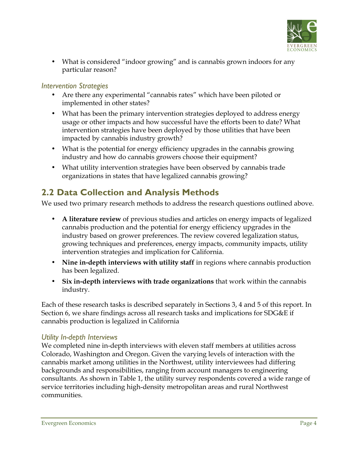

• What is considered "indoor growing" and is cannabis grown indoors for any particular reason?

#### *Intervention Strategies*

- Are there any experimental "cannabis rates" which have been piloted or implemented in other states?
- What has been the primary intervention strategies deployed to address energy usage or other impacts and how successful have the efforts been to date? What intervention strategies have been deployed by those utilities that have been impacted by cannabis industry growth?
- What is the potential for energy efficiency upgrades in the cannabis growing industry and how do cannabis growers choose their equipment?
- What utility intervention strategies have been observed by cannabis trade organizations in states that have legalized cannabis growing?

### **2.2 Data Collection and Analysis Methods**

We used two primary research methods to address the research questions outlined above.

- **A literature review** of previous studies and articles on energy impacts of legalized cannabis production and the potential for energy efficiency upgrades in the industry based on grower preferences. The review covered legalization status, growing techniques and preferences, energy impacts, community impacts, utility intervention strategies and implication for California.
- **Nine in-depth interviews with utility staff** in regions where cannabis production has been legalized.
- **Six in-depth interviews with trade organizations** that work within the cannabis industry.

Each of these research tasks is described separately in Sections 3, 4 and 5 of this report. In Section 6, we share findings across all research tasks and implications for SDG&E if cannabis production is legalized in California

#### *Utility In-depth Interviews*

We completed nine in-depth interviews with eleven staff members at utilities across Colorado, Washington and Oregon. Given the varying levels of interaction with the cannabis market among utilities in the Northwest, utility interviewees had differing backgrounds and responsibilities, ranging from account managers to engineering consultants. As shown in Table 1, the utility survey respondents covered a wide range of service territories including high-density metropolitan areas and rural Northwest communities.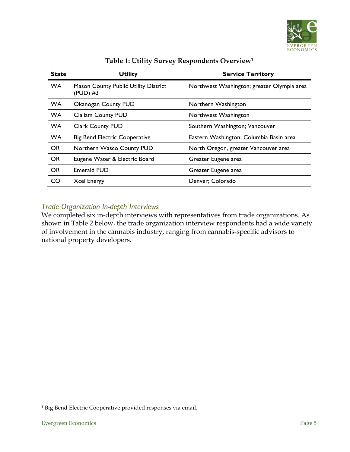

| <b>State</b> | <b>Utility</b>                                          | <b>Service Territory</b>                   |
|--------------|---------------------------------------------------------|--------------------------------------------|
| <b>WA</b>    | <b>Mason County Public Utility District</b><br>(PUD) #3 | Northwest Washington; greater Olympia area |
| <b>WA</b>    | Okanogan County PUD                                     | Northern Washington                        |
| <b>WA</b>    | <b>Clallam County PUD</b>                               | Northwest Washington                       |
| <b>WA</b>    | <b>Clark County PUD</b>                                 | Southern Washington; Vancouver             |
| <b>WA</b>    | <b>Big Bend Electric Cooperative</b>                    | Eastern Washington; Columbia Basin area    |
| <b>OR</b>    | Northern Wasco County PUD                               | North Oregon, greater Vancouver area       |
| <b>OR</b>    | Eugene Water & Electric Board                           | Greater Eugene area                        |
| <b>OR</b>    | <b>Emerald PUD</b>                                      | Greater Eugene area                        |
| CO           | <b>Xcel Energy</b>                                      | Denver; Colorado                           |

#### **Table 1: Utility Survey Respondents Overview1**

#### *Trade Organization In-depth Interviews*

We completed six in-depth interviews with representatives from trade organizations. As shown in Table 2 below, the trade organization interview respondents had a wide variety of involvement in the cannabis industry, ranging from cannabis-specific advisors to national property developers.

<sup>&</sup>lt;sup>1</sup> Big Bend Electric Cooperative provided responses via email.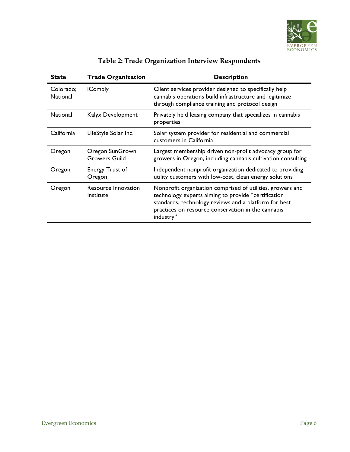

| <b>State</b>                 | <b>Trade Organization</b>               | <b>Description</b>                                                                                                                                                                                                                            |
|------------------------------|-----------------------------------------|-----------------------------------------------------------------------------------------------------------------------------------------------------------------------------------------------------------------------------------------------|
| Colorado;<br><b>National</b> | <i>i</i> Comply                         | Client services provider designed to specifically help<br>cannabis operations build infrastructure and legitimize<br>through compliance training and protocol design                                                                          |
| <b>National</b>              | Kalyx Development                       | Privately held leasing company that specializes in cannabis<br>properties                                                                                                                                                                     |
| California                   | LifeStyle Solar Inc.                    | Solar system provider for residential and commercial<br>customers in California                                                                                                                                                               |
| Oregon                       | Oregon SunGrown<br><b>Growers Guild</b> | Largest membership driven non-profit advocacy group for<br>growers in Oregon, including cannabis cultivation consulting                                                                                                                       |
| Oregon                       | Energy Trust of<br>Oregon               | Independent nonprofit organization dedicated to providing<br>utility customers with low-cost, clean energy solutions                                                                                                                          |
| Oregon                       | Resource Innovation<br>Institute        | Nonprofit organization comprised of utilities, growers and<br>technology experts aiming to provide "certification<br>standards, technology reviews and a platform for best<br>practices on resource conservation in the cannabis<br>industry" |

### **Table 2: Trade Organization Interview Respondents**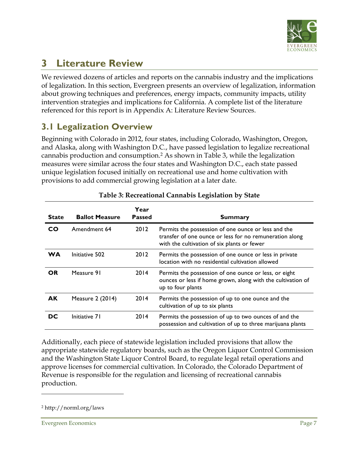

# **3 Literature Review**

We reviewed dozens of articles and reports on the cannabis industry and the implications of legalization. In this section, Evergreen presents an overview of legalization, information about growing techniques and preferences, energy impacts, community impacts, utility intervention strategies and implications for California. A complete list of the literature referenced for this report is in Appendix A: Literature Review Sources.

### **3.1 Legalization Overview**

Beginning with Colorado in 2012, four states, including Colorado, Washington, Oregon, and Alaska, along with Washington D.C., have passed legislation to legalize recreational cannabis production and consumption. <sup>2</sup> As shown in Table 3, while the legalization measures were similar across the four states and Washington D.C., each state passed unique legislation focused initially on recreational use and home cultivation with provisions to add commercial growing legislation at a later date.

| <b>State</b> | <b>Ballot Measure</b> | Year<br><b>Passed</b> | <b>Summary</b>                                                                                                                                                |
|--------------|-----------------------|-----------------------|---------------------------------------------------------------------------------------------------------------------------------------------------------------|
| CO           | Amendment 64          | 2012                  | Permits the possession of one ounce or less and the<br>transfer of one ounce or less for no remuneration along<br>with the cultivation of six plants or fewer |
| WA           | Initiative 502        | 2012                  | Permits the possession of one ounce or less in private<br>location with no residential cultivation allowed                                                    |
| <b>OR</b>    | Measure 91            | 2014                  | Permits the possession of one ounce or less, or eight<br>ounces or less if home grown, along with the cultivation of<br>up to four plants                     |
| <b>AK</b>    | Measure 2 (2014)      | 2014                  | Permits the possession of up to one ounce and the<br>cultivation of up to six plants                                                                          |
| DC           | Initiative 71         | 2014                  | Permits the possession of up to two ounces of and the<br>possession and cultivation of up to three marijuana plants                                           |

#### **Table 3: Recreational Cannabis Legislation by State**

Additionally, each piece of statewide legislation included provisions that allow the appropriate statewide regulatory boards, such as the Oregon Liquor Control Commission and the Washington State Liquor Control Board, to regulate legal retail operations and approve licenses for commercial cultivation. In Colorado, the Colorado Department of Revenue is responsible for the regulation and licensing of recreational cannabis production.

<sup>2</sup> http://norml.org/laws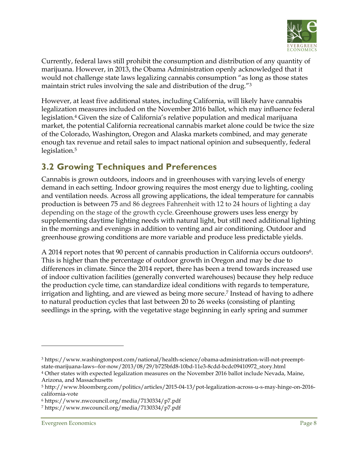

Currently, federal laws still prohibit the consumption and distribution of any quantity of marijuana. However, in 2013, the Obama Administration openly acknowledged that it would not challenge state laws legalizing cannabis consumption "as long as those states maintain strict rules involving the sale and distribution of the drug."3

However, at least five additional states, including California, will likely have cannabis legalization measures included on the November 2016 ballot, which may influence federal legislation.4 Given the size of California's relative population and medical marijuana market, the potential California recreational cannabis market alone could be twice the size of the Colorado, Washington, Oregon and Alaska markets combined, and may generate enough tax revenue and retail sales to impact national opinion and subsequently, federal legislation.<sup>5</sup>

# **3.2 Growing Techniques and Preferences**

Cannabis is grown outdoors, indoors and in greenhouses with varying levels of energy demand in each setting. Indoor growing requires the most energy due to lighting, cooling and ventilation needs. Across all growing applications, the ideal temperature for cannabis production is between 75 and 86 degrees Fahrenheit with 12 to 24 hours of lighting a day depending on the stage of the growth cycle. Greenhouse growers uses less energy by supplementing daytime lighting needs with natural light, but still need additional lighting in the mornings and evenings in addition to venting and air conditioning. Outdoor and greenhouse growing conditions are more variable and produce less predictable yields.

A 2014 report notes that 90 percent of cannabis production in California occurs outdoors<sup>6</sup>. This is higher than the percentage of outdoor growth in Oregon and may be due to differences in climate. Since the 2014 report, there has been a trend towards increased use of indoor cultivation facilities (generally converted warehouses) because they help reduce the production cycle time, can standardize ideal conditions with regards to temperature, irrigation and lighting, and are viewed as being more secure.<sup>7</sup> Instead of having to adhere to natural production cycles that last between 20 to 26 weeks (consisting of planting seedlings in the spring, with the vegetative stage beginning in early spring and summer

<sup>3</sup> https://www.washingtonpost.com/national/health-science/obama-administration-will-not-preemptstate-marijuana-laws--for-now/2013/08/29/b725bfd8-10bd-11e3-8cdd-bcdc09410972\_story.html

<sup>4</sup> Other states with expected legalization measures on the November 2016 ballot include Nevada, Maine, Arizona, and Massachusetts

<sup>5</sup> http://www.bloomberg.com/politics/articles/2015-04-13/pot-legalization-across-u-s-may-hinge-on-2016 california-vote

<sup>6</sup> https://www.nwcouncil.org/media/7130334/p7.pdf

<sup>7</sup> https://www.nwcouncil.org/media/7130334/p7.pdf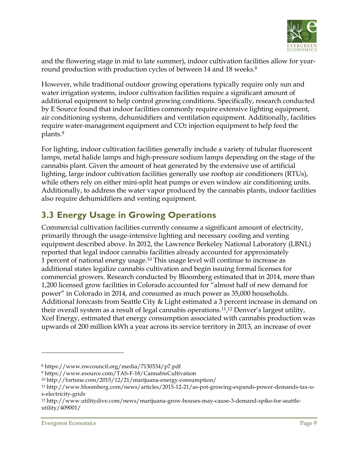

and the flowering stage in mid to late summer), indoor cultivation facilities allow for yearround production with production cycles of between 14 and 18 weeks.<sup>8</sup>

However, while traditional outdoor growing operations typically require only sun and water irrigation systems, indoor cultivation facilities require a significant amount of additional equipment to help control growing conditions. Specifically, research conducted by E Source found that indoor facilities commonly require extensive lighting equipment, air conditioning systems, dehumidifiers and ventilation equipment. Additionally, facilities require water-management equipment and CO2 injection equipment to help feed the plants.9

For lighting, indoor cultivation facilities generally include a variety of tubular fluorescent lamps, metal halide lamps and high-pressure sodium lamps depending on the stage of the cannabis plant. Given the amount of heat generated by the extensive use of artificial lighting, large indoor cultivation facilities generally use rooftop air conditioners (RTUs), while others rely on either mini-split heat pumps or even window air conditioning units. Additionally, to address the water vapor produced by the cannabis plants, indoor facilities also require dehumidifiers and venting equipment.

# **3.3 Energy Usage in Growing Operations**

Commercial cultivation facilities currently consume a significant amount of electricity, primarily through the usage-intensive lighting and necessary cooling and venting equipment described above. In 2012, the Lawrence Berkeley National Laboratory (LBNL) reported that legal indoor cannabis facilities already accounted for approximately 1 percent of national energy usage.10 This usage level will continue to increase as additional states legalize cannabis cultivation and begin issuing formal licenses for commercial growers. Research conducted by Bloomberg estimated that in 2014, more than 1,200 licensed grow facilities in Colorado accounted for "almost half of new demand for power" in Colorado in 2014, and consumed as much power as 35,000 households. Additional forecasts from Seattle City & Light estimated a 3 percent increase in demand on their overall system as a result of legal cannabis operations.11, <sup>12</sup> Denver's largest utility, Xcel Energy, estimated that energy consumption associated with cannabis production was upwards of 200 million kWh a year across its service territory in 2013, an increase of over

<sup>8</sup> https://www.nwcouncil.org/media/7130334/p7.pdf

<sup>9</sup> https://www.esource.com/TAS-F-18/CannabisCultivation

<sup>10</sup> http://fortune.com/2015/12/21/marijuana-energy-consumption/

<sup>11</sup> http://www.bloomberg.com/news/articles/2015-12-21/as-pot-growing-expands-power-demands-tax-us-electricity-grids

<sup>12</sup> http://www.utilitydive.com/news/marijuana-grow-houses-may-cause-3-demand-spike-for-seattleutility/409001/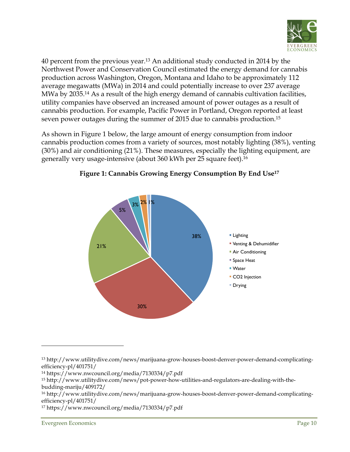

40 percent from the previous year.13 An additional study conducted in 2014 by the Northwest Power and Conservation Council estimated the energy demand for cannabis production across Washington, Oregon, Montana and Idaho to be approximately 112 average megawatts (MWa) in 2014 and could potentially increase to over 237 average MWa by 2035.14 As a result of the high energy demand of cannabis cultivation facilities, utility companies have observed an increased amount of power outages as a result of cannabis production. For example, Pacific Power in Portland, Oregon reported at least seven power outages during the summer of 2015 due to cannabis production.15

As shown in Figure 1 below, the large amount of energy consumption from indoor cannabis production comes from a variety of sources, most notably lighting (38%), venting (30%) and air conditioning (21%). These measures, especially the lighting equipment, are generally very usage-intensive (about 360 kWh per 25 square feet).16



#### **Figure 1: Cannabis Growing Energy Consumption By End Use17**

<sup>13</sup> http://www.utilitydive.com/news/marijuana-grow-houses-boost-denver-power-demand-complicatingefficiency-pl/401751/

<sup>14</sup> https://www.nwcouncil.org/media/7130334/p7.pdf

<sup>15</sup> http://www.utilitydive.com/news/pot-power-how-utilities-and-regulators-are-dealing-with-thebudding-mariju/409172/

<sup>16</sup> http://www.utilitydive.com/news/marijuana-grow-houses-boost-denver-power-demand-complicatingefficiency-pl/401751/

<sup>17</sup> https://www.nwcouncil.org/media/7130334/p7.pdf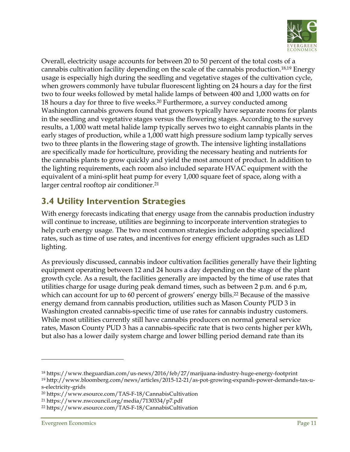

Overall, electricity usage accounts for between 20 to 50 percent of the total costs of a cannabis cultivation facility depending on the scale of the cannabis production.18,19 Energy usage is especially high during the seedling and vegetative stages of the cultivation cycle, when growers commonly have tubular fluorescent lighting on 24 hours a day for the first two to four weeks followed by metal halide lamps of between 400 and 1,000 watts on for 18 hours a day for three to five weeks.<sup>20</sup> Furthermore, a survey conducted among Washington cannabis growers found that growers typically have separate rooms for plants in the seedling and vegetative stages versus the flowering stages. According to the survey results, a 1,000 watt metal halide lamp typically serves two to eight cannabis plants in the early stages of production, while a 1,000 watt high pressure sodium lamp typically serves two to three plants in the flowering stage of growth. The intensive lighting installations are specifically made for horticulture, providing the necessary heating and nutrients for the cannabis plants to grow quickly and yield the most amount of product. In addition to the lighting requirements, each room also included separate HVAC equipment with the equivalent of a mini-split heat pump for every 1,000 square feet of space, along with a larger central rooftop air conditioner.<sup>21</sup>

# **3.4 Utility Intervention Strategies**

With energy forecasts indicating that energy usage from the cannabis production industry will continue to increase, utilities are beginning to incorporate intervention strategies to help curb energy usage. The two most common strategies include adopting specialized rates, such as time of use rates, and incentives for energy efficient upgrades such as LED lighting.

As previously discussed, cannabis indoor cultivation facilities generally have their lighting equipment operating between 12 and 24 hours a day depending on the stage of the plant growth cycle. As a result, the facilities generally are impacted by the time of use rates that utilities charge for usage during peak demand times, such as between 2 p.m. and 6 p.m, which can account for up to 60 percent of growers' energy bills.<sup>22</sup> Because of the massive energy demand from cannabis production, utilities such as Mason County PUD 3 in Washington created cannabis-specific time of use rates for cannabis industry customers. While most utilities currently still have cannabis producers on normal general service rates, Mason County PUD 3 has a cannabis-specific rate that is two cents higher per kWh, but also has a lower daily system charge and lower billing period demand rate than its

<sup>18</sup> https://www.theguardian.com/us-news/2016/feb/27/marijuana-industry-huge-energy-footprint <sup>19</sup> http://www.bloomberg.com/news/articles/2015-12-21/as-pot-growing-expands-power-demands-tax-us-electricity-grids

<sup>20</sup> https://www.esource.com/TAS-F-18/CannabisCultivation

<sup>21</sup> https://www.nwcouncil.org/media/7130334/p7.pdf

<sup>22</sup> https://www.esource.com/TAS-F-18/CannabisCultivation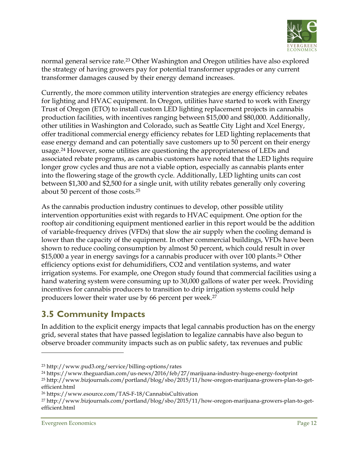

normal general service rate.<sup>23</sup> Other Washington and Oregon utilities have also explored the strategy of having growers pay for potential transformer upgrades or any current transformer damages caused by their energy demand increases.

Currently, the more common utility intervention strategies are energy efficiency rebates for lighting and HVAC equipment. In Oregon, utilities have started to work with Energy Trust of Oregon (ETO) to install custom LED lighting replacement projects in cannabis production facilities, with incentives ranging between \$15,000 and \$80,000. Additionally, other utilities in Washington and Colorado, such as Seattle City Light and Xcel Energy, offer traditional commercial energy efficiency rebates for LED lighting replacements that ease energy demand and can potentially save customers up to 50 percent on their energy usage.24 However, some utilities are questioning the appropriateness of LEDs and associated rebate programs, as cannabis customers have noted that the LED lights require longer grow cycles and thus are not a viable option, especially as cannabis plants enter into the flowering stage of the growth cycle. Additionally, LED lighting units can cost between \$1,300 and \$2,500 for a single unit, with utility rebates generally only covering about 50 percent of those costs.25

As the cannabis production industry continues to develop, other possible utility intervention opportunities exist with regards to HVAC equipment. One option for the rooftop air conditioning equipment mentioned earlier in this report would be the addition of variable-frequency drives (VFDs) that slow the air supply when the cooling demand is lower than the capacity of the equipment. In other commercial buildings, VFDs have been shown to reduce cooling consumption by almost 50 percent, which could result in over \$15,000 a year in energy savings for a cannabis producer with over 100 plants.26 Other efficiency options exist for dehumidifiers, CO2 and ventilation systems, and water irrigation systems. For example, one Oregon study found that commercial facilities using a hand watering system were consuming up to 30,000 gallons of water per week. Providing incentives for cannabis producers to transition to drip irrigation systems could help producers lower their water use by 66 percent per week.27

# **3.5 Community Impacts**

In addition to the explicit energy impacts that legal cannabis production has on the energy grid, several states that have passed legislation to legalize cannabis have also begun to observe broader community impacts such as on public safety, tax revenues and public

<sup>23</sup> http://www.pud3.org/service/billing-options/rates

<sup>24</sup> https://www.theguardian.com/us-news/2016/feb/27/marijuana-industry-huge-energy-footprint <sup>25</sup> http://www.bizjournals.com/portland/blog/sbo/2015/11/how-oregon-marijuana-growers-plan-to-get-

efficient.html

<sup>26</sup> https://www.esource.com/TAS-F-18/CannabisCultivation

<sup>27</sup> http://www.bizjournals.com/portland/blog/sbo/2015/11/how-oregon-marijuana-growers-plan-to-getefficient.html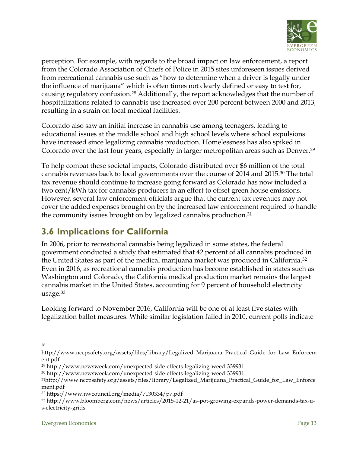

perception. For example, with regards to the broad impact on law enforcement, a report from the Colorado Association of Chiefs of Police in 2015 sites unforeseen issues derived from recreational cannabis use such as "how to determine when a driver is legally under the influence of marijuana" which is often times not clearly defined or easy to test for, causing regulatory confusion.28 Additionally, the report acknowledges that the number of hospitalizations related to cannabis use increased over 200 percent between 2000 and 2013, resulting in a strain on local medical facilities.

Colorado also saw an initial increase in cannabis use among teenagers, leading to educational issues at the middle school and high school levels where school expulsions have increased since legalizing cannabis production. Homelessness has also spiked in Colorado over the last four years, especially in larger metropolitan areas such as Denver.29

To help combat these societal impacts, Colorado distributed over \$6 million of the total cannabis revenues back to local governments over the course of 2014 and 2015.30 The total tax revenue should continue to increase going forward as Colorado has now included a two cent/kWh tax for cannabis producers in an effort to offset green house emissions. However, several law enforcement officials argue that the current tax revenues may not cover the added expenses brought on by the increased law enforcement required to handle the community issues brought on by legalized cannabis production.31

# **3.6 Implications for California**

In 2006, prior to recreational cannabis being legalized in some states, the federal government conducted a study that estimated that 42 percent of all cannabis produced in the United States as part of the medical marijuana market was produced in California.32 Even in 2016, as recreational cannabis production has become established in states such as Washington and Colorado, the California medical production market remains the largest cannabis market in the United States, accounting for 9 percent of household electricity usage.33

Looking forward to November 2016, California will be one of at least five states with legalization ballot measures. While similar legislation failed in 2010, current polls indicate

28

http://www.nccpsafety.org/assets/files/library/Legalized\_Marijuana\_Practical\_Guide\_for\_Law\_Enforcem ent.pdf

<sup>29</sup> http://www.newsweek.com/unexpected-side-effects-legalizing-weed-339931

<sup>30</sup> http://www.newsweek.com/unexpected-side-effects-legalizing-weed-339931

<sup>31</sup>http://www.nccpsafety.org/assets/files/library/Legalized\_Marijuana\_Practical\_Guide\_for\_Law\_Enforce ment.pdf

<sup>32</sup> https://www.nwcouncil.org/media/7130334/p7.pdf

<sup>33</sup> http://www.bloomberg.com/news/articles/2015-12-21/as-pot-growing-expands-power-demands-tax-us-electricity-grids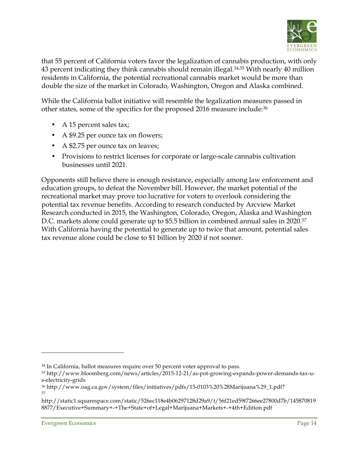

that 55 percent of California voters favor the legalization of cannabis production, with only 43 percent indicating they think cannabis should remain illegal.34,35 With nearly 40 million residents in California, the potential recreational cannabis market would be more than double the size of the market in Colorado, Washington, Oregon and Alaska combined.

While the California ballot initiative will resemble the legalization measures passed in other states, some of the specifics for the proposed 2016 measure include: 36

- A 15 percent sales tax;
- A \$9.25 per ounce tax on flowers;
- A \$2.75 per ounce tax on leaves;
- Provisions to restrict licenses for corporate or large-scale cannabis cultivation businesses until 2021.

Opponents still believe there is enough resistance, especially among law enforcement and education groups, to defeat the November bill. However, the market potential of the recreational market may prove too lucrative for voters to overlook considering the potential tax revenue benefits. According to research conducted by Arcview Market Research conducted in 2015, the Washington, Colorado, Oregon, Alaska and Washington D.C. markets alone could generate up to \$5.5 billion in combined annual sales in 2020.<sup>37</sup> With California having the potential to generate up to twice that amount, potential sales tax revenue alone could be close to \$1 billion by 2020 if not sooner.

<sup>&</sup>lt;sup>34</sup> In California, ballot measures require over 50 percent voter approval to pass.

<sup>35</sup> http://www.bloomberg.com/news/articles/2015-12-21/as-pot-growing-expands-power-demands-tax-us-electricity-grids

<sup>36</sup> http://www.oag.ca.gov/system/files/initiatives/pdfs/15-0103%20%28Marijuana%29\_1.pdf? 37

http://static1.squarespace.com/static/526ec118e4b06297128d29a9/t/56f21ed59f7266ee27800d7b/145870819 8877/Executive+Summary+-+The+State+of+Legal+Marijuana+Markets+-+4th+Edition.pdf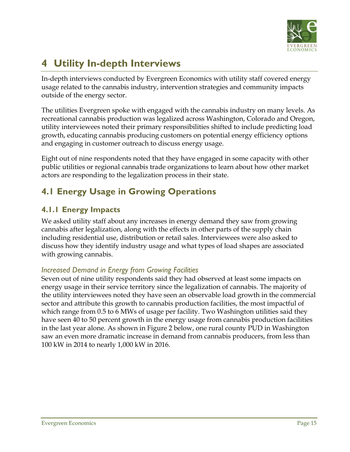

# **4 Utility In-depth Interviews**

In-depth interviews conducted by Evergreen Economics with utility staff covered energy usage related to the cannabis industry, intervention strategies and community impacts outside of the energy sector.

The utilities Evergreen spoke with engaged with the cannabis industry on many levels. As recreational cannabis production was legalized across Washington, Colorado and Oregon, utility interviewees noted their primary responsibilities shifted to include predicting load growth, educating cannabis producing customers on potential energy efficiency options and engaging in customer outreach to discuss energy usage.

Eight out of nine respondents noted that they have engaged in some capacity with other public utilities or regional cannabis trade organizations to learn about how other market actors are responding to the legalization process in their state.

# **4.1 Energy Usage in Growing Operations**

### **4.1.1 Energy Impacts**

We asked utility staff about any increases in energy demand they saw from growing cannabis after legalization, along with the effects in other parts of the supply chain including residential use, distribution or retail sales. Interviewees were also asked to discuss how they identify industry usage and what types of load shapes are associated with growing cannabis.

#### *Increased Demand in Energy from Growing Facilities*

Seven out of nine utility respondents said they had observed at least some impacts on energy usage in their service territory since the legalization of cannabis. The majority of the utility interviewees noted they have seen an observable load growth in the commercial sector and attribute this growth to cannabis production facilities, the most impactful of which range from 0.5 to 6 MWs of usage per facility. Two Washington utilities said they have seen 40 to 50 percent growth in the energy usage from cannabis production facilities in the last year alone. As shown in Figure 2 below, one rural county PUD in Washington saw an even more dramatic increase in demand from cannabis producers, from less than 100 kW in 2014 to nearly 1,000 kW in 2016.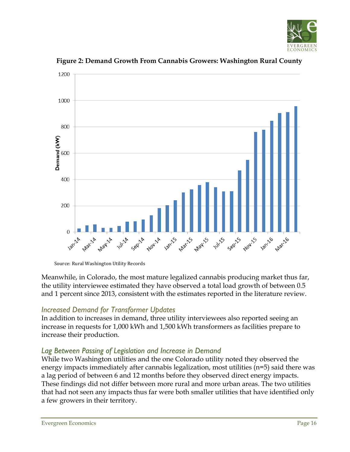



**Figure 2: Demand Growth From Cannabis Growers: Washington Rural County**

Source: Rural Washington Utility Records

Meanwhile, in Colorado, the most mature legalized cannabis producing market thus far, the utility interviewee estimated they have observed a total load growth of between 0.5 and 1 percent since 2013, consistent with the estimates reported in the literature review.

#### *Increased Demand for Transformer Updates*

In addition to increases in demand, three utility interviewees also reported seeing an increase in requests for 1,000 kWh and 1,500 kWh transformers as facilities prepare to increase their production.

#### *Lag Between Passing of Legislation and Increase in Demand*

While two Washington utilities and the one Colorado utility noted they observed the energy impacts immediately after cannabis legalization, most utilities (n=5) said there was a lag period of between 6 and 12 months before they observed direct energy impacts. These findings did not differ between more rural and more urban areas. The two utilities that had not seen any impacts thus far were both smaller utilities that have identified only a few growers in their territory.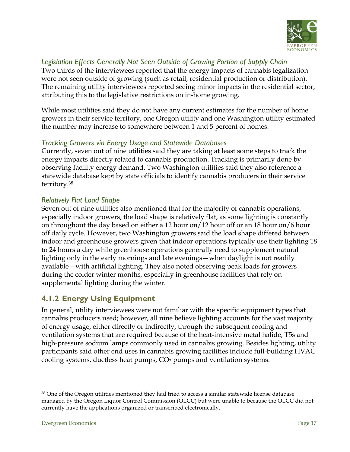

#### *Legislation Effects Generally Not Seen Outside of Growing Portion of Supply Chain*

Two thirds of the interviewees reported that the energy impacts of cannabis legalization were not seen outside of growing (such as retail, residential production or distribution). The remaining utility interviewees reported seeing minor impacts in the residential sector, attributing this to the legislative restrictions on in-home growing.

While most utilities said they do not have any current estimates for the number of home growers in their service territory, one Oregon utility and one Washington utility estimated the number may increase to somewhere between 1 and 5 percent of homes.

#### *Tracking Growers via Energy Usage and Statewide Databases*

Currently, seven out of nine utilities said they are taking at least some steps to track the energy impacts directly related to cannabis production. Tracking is primarily done by observing facility energy demand. Two Washington utilities said they also reference a statewide database kept by state officials to identify cannabis producers in their service territory.38

#### *Relatively Flat Load Shape*

Seven out of nine utilities also mentioned that for the majority of cannabis operations, especially indoor growers, the load shape is relatively flat, as some lighting is constantly on throughout the day based on either a 12 hour on/12 hour off or an 18 hour on/6 hour off daily cycle. However, two Washington growers said the load shape differed between indoor and greenhouse growers given that indoor operations typically use their lighting 18 to 24 hours a day while greenhouse operations generally need to supplement natural lighting only in the early mornings and late evenings—when daylight is not readily available—with artificial lighting. They also noted observing peak loads for growers during the colder winter months, especially in greenhouse facilities that rely on supplemental lighting during the winter.

#### **4.1.2 Energy Using Equipment**

In general, utility interviewees were not familiar with the specific equipment types that cannabis producers used; however, all nine believe lighting accounts for the vast majority of energy usage, either directly or indirectly, through the subsequent cooling and ventilation systems that are required because of the heat-intensive metal halide, T5s and high-pressure sodium lamps commonly used in cannabis growing. Besides lighting, utility participants said other end uses in cannabis growing facilities include full-building HVAC cooling systems, ductless heat pumps,  $CO<sub>2</sub>$  pumps and ventilation systems.

<sup>&</sup>lt;sup>38</sup> One of the Oregon utilities mentioned they had tried to access a similar statewide license database managed by the Oregon Liquor Control Commission (OLCC) but were unable to because the OLCC did not currently have the applications organized or transcribed electronically.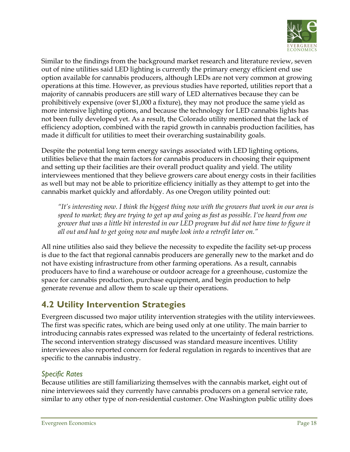

Similar to the findings from the background market research and literature review, seven out of nine utilities said LED lighting is currently the primary energy efficient end use option available for cannabis producers, although LEDs are not very common at growing operations at this time. However, as previous studies have reported, utilities report that a majority of cannabis producers are still wary of LED alternatives because they can be prohibitively expensive (over \$1,000 a fixture), they may not produce the same yield as more intensive lighting options, and because the technology for LED cannabis lights has not been fully developed yet. As a result, the Colorado utility mentioned that the lack of efficiency adoption, combined with the rapid growth in cannabis production facilities, has made it difficult for utilities to meet their overarching sustainability goals.

Despite the potential long term energy savings associated with LED lighting options, utilities believe that the main factors for cannabis producers in choosing their equipment and setting up their facilities are their overall product quality and yield. The utility interviewees mentioned that they believe growers care about energy costs in their facilities as well but may not be able to prioritize efficiency initially as they attempt to get into the cannabis market quickly and affordably. As one Oregon utility pointed out:

*"It's interesting now. I think the biggest thing now with the growers that work in our area is speed to market; they are trying to get up and going as fast as possible. I've heard from one grower that was a little bit interested in our LED program but did not have time to figure it all out and had to get going now and maybe look into a retrofit later on."*

All nine utilities also said they believe the necessity to expedite the facility set-up process is due to the fact that regional cannabis producers are generally new to the market and do not have existing infrastructure from other farming operations. As a result, cannabis producers have to find a warehouse or outdoor acreage for a greenhouse, customize the space for cannabis production, purchase equipment, and begin production to help generate revenue and allow them to scale up their operations.

# **4.2 Utility Intervention Strategies**

Evergreen discussed two major utility intervention strategies with the utility interviewees. The first was specific rates, which are being used only at one utility. The main barrier to introducing cannabis rates expressed was related to the uncertainty of federal restrictions. The second intervention strategy discussed was standard measure incentives. Utility interviewees also reported concern for federal regulation in regards to incentives that are specific to the cannabis industry.

#### *Specific Rates*

Because utilities are still familiarizing themselves with the cannabis market, eight out of nine interviewees said they currently have cannabis producers on a general service rate, similar to any other type of non-residential customer. One Washington public utility does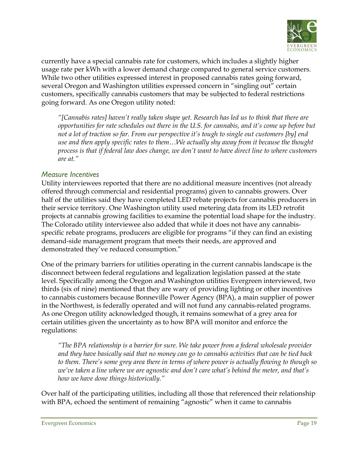

currently have a special cannabis rate for customers, which includes a slightly higher usage rate per kWh with a lower demand charge compared to general service customers. While two other utilities expressed interest in proposed cannabis rates going forward, several Oregon and Washington utilities expressed concern in "singling out" certain customers, specifically cannabis customers that may be subjected to federal restrictions going forward. As one Oregon utility noted:

*"[Cannabis rates] haven't really taken shape yet. Research has led us to think that there are opportunities for rate schedules out there in the U.S. for cannabis, and it's come up before but not a lot of traction so far. From our perspective it's tough to single out customers [by] end use and then apply specific rates to them…We actually shy away from it because the thought process is that if federal law does change, we don't want to have direct line to where customers are at."*

#### *Measure Incentives*

Utility interviewees reported that there are no additional measure incentives (not already offered through commercial and residential programs) given to cannabis growers. Over half of the utilities said they have completed LED rebate projects for cannabis producers in their service territory. One Washington utility used metering data from its LED retrofit projects at cannabis growing facilities to examine the potential load shape for the industry. The Colorado utility interviewee also added that while it does not have any cannabisspecific rebate programs, producers are eligible for programs "if they can find an existing demand-side management program that meets their needs, are approved and demonstrated they've reduced consumption."

One of the primary barriers for utilities operating in the current cannabis landscape is the disconnect between federal regulations and legalization legislation passed at the state level. Specifically among the Oregon and Washington utilities Evergreen interviewed, two thirds (six of nine) mentioned that they are wary of providing lighting or other incentives to cannabis customers because Bonneville Power Agency (BPA), a main supplier of power in the Northwest, is federally operated and will not fund any cannabis-related programs. As one Oregon utility acknowledged though, it remains somewhat of a grey area for certain utilities given the uncertainty as to how BPA will monitor and enforce the regulations:

*"The BPA relationship is a barrier for sure. We take power from a federal wholesale provider and they have basically said that no money can go to cannabis activities that can be tied back to them. There's some grey area there in terms of where power is actually flowing to though so we've taken a line where we are agnostic and don't care what's behind the meter, and that's how we have done things historically."*

Over half of the participating utilities, including all those that referenced their relationship with BPA, echoed the sentiment of remaining "agnostic" when it came to cannabis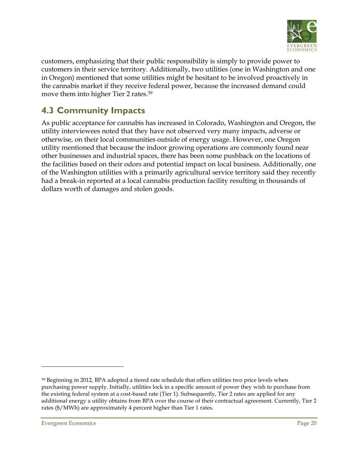

customers, emphasizing that their public responsibility is simply to provide power to customers in their service territory. Additionally, two utilities (one in Washington and one in Oregon) mentioned that some utilities might be hesitant to be involved proactively in the cannabis market if they receive federal power, because the increased demand could move them into higher Tier 2 rates.39

# **4.3 Community Impacts**

As public acceptance for cannabis has increased in Colorado, Washington and Oregon, the utility interviewees noted that they have not observed very many impacts, adverse or otherwise, on their local communities outside of energy usage. However, one Oregon utility mentioned that because the indoor growing operations are commonly found near other businesses and industrial spaces, there has been some pushback on the locations of the facilities based on their odors and potential impact on local business. Additionally, one of the Washington utilities with a primarily agricultural service territory said they recently had a break-in reported at a local cannabis production facility resulting in thousands of dollars worth of damages and stolen goods.

<sup>&</sup>lt;sup>39</sup> Beginning in 2012, BPA adopted a tiered rate schedule that offers utilities two price levels when purchasing power supply. Initially, utilities lock in a specific amount of power they wish to purchase from the existing federal system at a cost-based rate (Tier 1). Subsequently, Tier 2 rates are applied for any additional energy a utility obtains from BPA over the course of their contractual agreement. Currently, Tier 2 rates (\$/MWh) are approximately 4 percent higher than Tier 1 rates.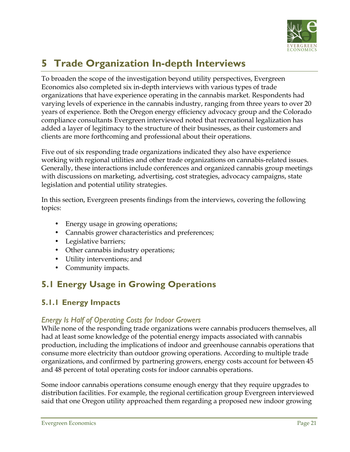

# **5 Trade Organization In-depth Interviews**

To broaden the scope of the investigation beyond utility perspectives, Evergreen Economics also completed six in-depth interviews with various types of trade organizations that have experience operating in the cannabis market. Respondents had varying levels of experience in the cannabis industry, ranging from three years to over 20 years of experience. Both the Oregon energy efficiency advocacy group and the Colorado compliance consultants Evergreen interviewed noted that recreational legalization has added a layer of legitimacy to the structure of their businesses, as their customers and clients are more forthcoming and professional about their operations.

Five out of six responding trade organizations indicated they also have experience working with regional utilities and other trade organizations on cannabis-related issues. Generally, these interactions include conferences and organized cannabis group meetings with discussions on marketing, advertising, cost strategies, advocacy campaigns, state legislation and potential utility strategies.

In this section, Evergreen presents findings from the interviews, covering the following topics:

- Energy usage in growing operations;
- Cannabis grower characteristics and preferences;
- Legislative barriers;
- Other cannabis industry operations;
- Utility interventions; and
- Community impacts.

# **5.1 Energy Usage in Growing Operations**

#### **5.1.1 Energy Impacts**

#### *Energy Is Half of Operating Costs for Indoor Growers*

While none of the responding trade organizations were cannabis producers themselves, all had at least some knowledge of the potential energy impacts associated with cannabis production, including the implications of indoor and greenhouse cannabis operations that consume more electricity than outdoor growing operations. According to multiple trade organizations, and confirmed by partnering growers, energy costs account for between 45 and 48 percent of total operating costs for indoor cannabis operations.

Some indoor cannabis operations consume enough energy that they require upgrades to distribution facilities. For example, the regional certification group Evergreen interviewed said that one Oregon utility approached them regarding a proposed new indoor growing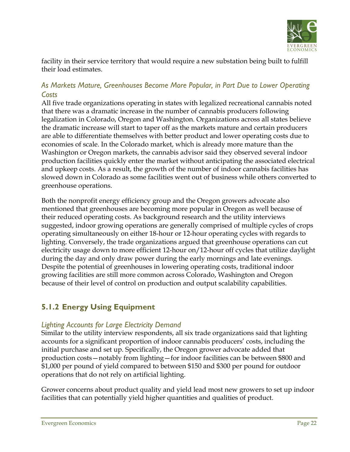

facility in their service territory that would require a new substation being built to fulfill their load estimates.

#### *As Markets Mature, Greenhouses Become More Popular, in Part Due to Lower Operating Costs*

All five trade organizations operating in states with legalized recreational cannabis noted that there was a dramatic increase in the number of cannabis producers following legalization in Colorado, Oregon and Washington. Organizations across all states believe the dramatic increase will start to taper off as the markets mature and certain producers are able to differentiate themselves with better product and lower operating costs due to economies of scale. In the Colorado market, which is already more mature than the Washington or Oregon markets, the cannabis advisor said they observed several indoor production facilities quickly enter the market without anticipating the associated electrical and upkeep costs. As a result, the growth of the number of indoor cannabis facilities has slowed down in Colorado as some facilities went out of business while others converted to greenhouse operations.

Both the nonprofit energy efficiency group and the Oregon growers advocate also mentioned that greenhouses are becoming more popular in Oregon as well because of their reduced operating costs. As background research and the utility interviews suggested, indoor growing operations are generally comprised of multiple cycles of crops operating simultaneously on either 18-hour or 12-hour operating cycles with regards to lighting. Conversely, the trade organizations argued that greenhouse operations can cut electricity usage down to more efficient 12-hour on/12-hour off cycles that utilize daylight during the day and only draw power during the early mornings and late evenings. Despite the potential of greenhouses in lowering operating costs, traditional indoor growing facilities are still more common across Colorado, Washington and Oregon because of their level of control on production and output scalability capabilities.

#### **5.1.2 Energy Using Equipment**

#### *Lighting Accounts for Large Electricity Demand*

Similar to the utility interview respondents, all six trade organizations said that lighting accounts for a significant proportion of indoor cannabis producers' costs, including the initial purchase and set up. Specifically, the Oregon grower advocate added that production costs—notably from lighting—for indoor facilities can be between \$800 and \$1,000 per pound of yield compared to between \$150 and \$300 per pound for outdoor operations that do not rely on artificial lighting.

Grower concerns about product quality and yield lead most new growers to set up indoor facilities that can potentially yield higher quantities and qualities of product.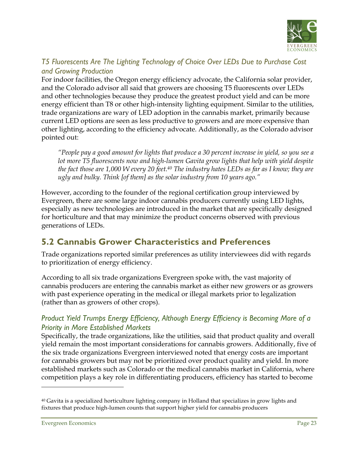

#### *T5 Fluorescents Are The Lighting Technology of Choice Over LEDs Due to Purchase Cost and Growing Production*

For indoor facilities, the Oregon energy efficiency advocate, the California solar provider, and the Colorado advisor all said that growers are choosing T5 fluorescents over LEDs and other technologies because they produce the greatest product yield and can be more energy efficient than T8 or other high-intensity lighting equipment. Similar to the utilities, trade organizations are wary of LED adoption in the cannabis market, primarily because current LED options are seen as less productive to growers and are more expensive than other lighting, according to the efficiency advocate. Additionally, as the Colorado advisor pointed out:

*"People pay a good amount for lights that produce a 30 percent increase in yield, so you see a lot more T5 fluorescents now and high-lumen Gavita grow lights that help with yield despite the fact those are 1,000 W every 20 feet.40 The industry hates LEDs as far as I know; they are ugly and bulky. Think [of them] as the solar industry from 10 years ago."*

However, according to the founder of the regional certification group interviewed by Evergreen, there are some large indoor cannabis producers currently using LED lights, especially as new technologies are introduced in the market that are specifically designed for horticulture and that may minimize the product concerns observed with previous generations of LEDs.

# **5.2 Cannabis Grower Characteristics and Preferences**

Trade organizations reported similar preferences as utility interviewees did with regards to prioritization of energy efficiency.

According to all six trade organizations Evergreen spoke with, the vast majority of cannabis producers are entering the cannabis market as either new growers or as growers with past experience operating in the medical or illegal markets prior to legalization (rather than as growers of other crops).

#### *Product Yield Trumps Energy Efficiency, Although Energy Efficiency is Becoming More of a Priority in More Established Markets*

Specifically, the trade organizations, like the utilities, said that product quality and overall yield remain the most important considerations for cannabis growers. Additionally, five of the six trade organizations Evergreen interviewed noted that energy costs are important for cannabis growers but may not be prioritized over product quality and yield. In more established markets such as Colorado or the medical cannabis market in California, where competition plays a key role in differentiating producers, efficiency has started to become

 $40$  Gavita is a specialized horticulture lighting company in Holland that specializes in grow lights and fixtures that produce high-lumen counts that support higher yield for cannabis producers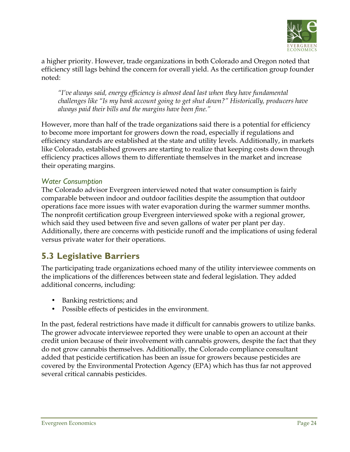

a higher priority. However, trade organizations in both Colorado and Oregon noted that efficiency still lags behind the concern for overall yield. As the certification group founder noted:

*"I've always said, energy efficiency is almost dead last when they have fundamental challenges like "Is my bank account going to get shut down?" Historically, producers have always paid their bills and the margins have been fine."*

However, more than half of the trade organizations said there is a potential for efficiency to become more important for growers down the road, especially if regulations and efficiency standards are established at the state and utility levels. Additionally, in markets like Colorado, established growers are starting to realize that keeping costs down through efficiency practices allows them to differentiate themselves in the market and increase their operating margins.

#### *Water Consumption*

The Colorado advisor Evergreen interviewed noted that water consumption is fairly comparable between indoor and outdoor facilities despite the assumption that outdoor operations face more issues with water evaporation during the warmer summer months. The nonprofit certification group Evergreen interviewed spoke with a regional grower, which said they used between five and seven gallons of water per plant per day. Additionally, there are concerns with pesticide runoff and the implications of using federal versus private water for their operations.

### **5.3 Legislative Barriers**

The participating trade organizations echoed many of the utility interviewee comments on the implications of the differences between state and federal legislation. They added additional concerns, including:

- Banking restrictions; and
- Possible effects of pesticides in the environment.

In the past, federal restrictions have made it difficult for cannabis growers to utilize banks. The grower advocate interviewee reported they were unable to open an account at their credit union because of their involvement with cannabis growers, despite the fact that they do not grow cannabis themselves. Additionally, the Colorado compliance consultant added that pesticide certification has been an issue for growers because pesticides are covered by the Environmental Protection Agency (EPA) which has thus far not approved several critical cannabis pesticides.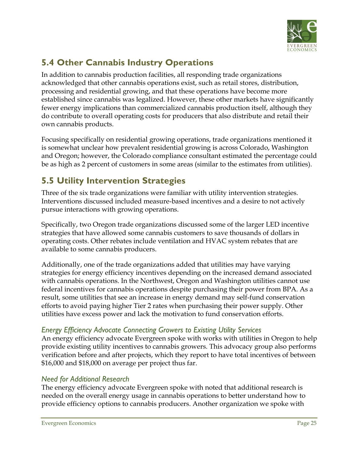

# **5.4 Other Cannabis Industry Operations**

In addition to cannabis production facilities, all responding trade organizations acknowledged that other cannabis operations exist, such as retail stores, distribution, processing and residential growing, and that these operations have become more established since cannabis was legalized. However, these other markets have significantly fewer energy implications than commercialized cannabis production itself, although they do contribute to overall operating costs for producers that also distribute and retail their own cannabis products.

Focusing specifically on residential growing operations, trade organizations mentioned it is somewhat unclear how prevalent residential growing is across Colorado, Washington and Oregon; however, the Colorado compliance consultant estimated the percentage could be as high as 2 percent of customers in some areas (similar to the estimates from utilities).

# **5.5 Utility Intervention Strategies**

Three of the six trade organizations were familiar with utility intervention strategies. Interventions discussed included measure-based incentives and a desire to not actively pursue interactions with growing operations.

Specifically, two Oregon trade organizations discussed some of the larger LED incentive strategies that have allowed some cannabis customers to save thousands of dollars in operating costs. Other rebates include ventilation and HVAC system rebates that are available to some cannabis producers.

Additionally, one of the trade organizations added that utilities may have varying strategies for energy efficiency incentives depending on the increased demand associated with cannabis operations. In the Northwest, Oregon and Washington utilities cannot use federal incentives for cannabis operations despite purchasing their power from BPA. As a result, some utilities that see an increase in energy demand may self-fund conservation efforts to avoid paying higher Tier 2 rates when purchasing their power supply. Other utilities have excess power and lack the motivation to fund conservation efforts.

#### *Energy Efficiency Advocate Connecting Growers to Existing Utility Services*

An energy efficiency advocate Evergreen spoke with works with utilities in Oregon to help provide existing utility incentives to cannabis growers. This advocacy group also performs verification before and after projects, which they report to have total incentives of between \$16,000 and \$18,000 on average per project thus far.

#### *Need for Additional Research*

The energy efficiency advocate Evergreen spoke with noted that additional research is needed on the overall energy usage in cannabis operations to better understand how to provide efficiency options to cannabis producers. Another organization we spoke with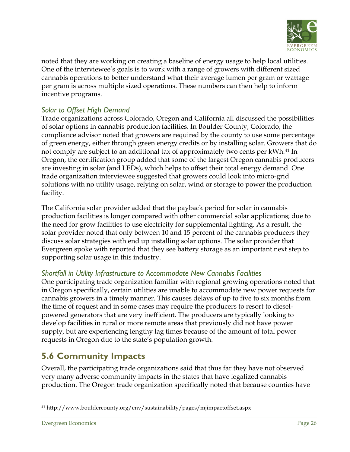

noted that they are working on creating a baseline of energy usage to help local utilities. One of the interviewee's goals is to work with a range of growers with different sized cannabis operations to better understand what their average lumen per gram or wattage per gram is across multiple sized operations. These numbers can then help to inform incentive programs.

#### *Solar to Offset High Demand*

Trade organizations across Colorado, Oregon and California all discussed the possibilities of solar options in cannabis production facilities. In Boulder County, Colorado, the compliance advisor noted that growers are required by the county to use some percentage of green energy, either through green energy credits or by installing solar. Growers that do not comply are subject to an additional tax of approximately two cents per kWh.41 In Oregon, the certification group added that some of the largest Oregon cannabis producers are investing in solar (and LEDs), which helps to offset their total energy demand. One trade organization interviewee suggested that growers could look into micro-grid solutions with no utility usage, relying on solar, wind or storage to power the production facility.

The California solar provider added that the payback period for solar in cannabis production facilities is longer compared with other commercial solar applications; due to the need for grow facilities to use electricity for supplemental lighting. As a result, the solar provider noted that only between 10 and 15 percent of the cannabis producers they discuss solar strategies with end up installing solar options. The solar provider that Evergreen spoke with reported that they see battery storage as an important next step to supporting solar usage in this industry.

#### *Shortfall in Utility Infrastructure to Accommodate New Cannabis Facilities*

One participating trade organization familiar with regional growing operations noted that in Oregon specifically, certain utilities are unable to accommodate new power requests for cannabis growers in a timely manner. This causes delays of up to five to six months from the time of request and in some cases may require the producers to resort to dieselpowered generators that are very inefficient. The producers are typically looking to develop facilities in rural or more remote areas that previously did not have power supply, but are experiencing lengthy lag times because of the amount of total power requests in Oregon due to the state's population growth.

# **5.6 Community Impacts**

Overall, the participating trade organizations said that thus far they have not observed very many adverse community impacts in the states that have legalized cannabis production. The Oregon trade organization specifically noted that because counties have

<sup>41</sup> http://www.bouldercounty.org/env/sustainability/pages/mjimpactoffset.aspx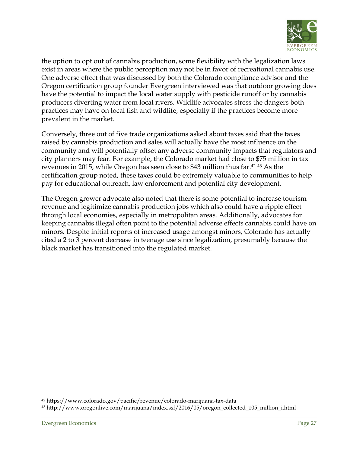

the option to opt out of cannabis production, some flexibility with the legalization laws exist in areas where the public perception may not be in favor of recreational cannabis use. One adverse effect that was discussed by both the Colorado compliance advisor and the Oregon certification group founder Evergreen interviewed was that outdoor growing does have the potential to impact the local water supply with pesticide runoff or by cannabis producers diverting water from local rivers. Wildlife advocates stress the dangers both practices may have on local fish and wildlife, especially if the practices become more prevalent in the market.

Conversely, three out of five trade organizations asked about taxes said that the taxes raised by cannabis production and sales will actually have the most influence on the community and will potentially offset any adverse community impacts that regulators and city planners may fear. For example, the Colorado market had close to \$75 million in tax revenues in 2015, while Oregon has seen close to \$43 million thus far.42 <sup>43</sup> As the certification group noted, these taxes could be extremely valuable to communities to help pay for educational outreach, law enforcement and potential city development.

The Oregon grower advocate also noted that there is some potential to increase tourism revenue and legitimize cannabis production jobs which also could have a ripple effect through local economies, especially in metropolitan areas. Additionally, advocates for keeping cannabis illegal often point to the potential adverse effects cannabis could have on minors. Despite initial reports of increased usage amongst minors, Colorado has actually cited a 2 to 3 percent decrease in teenage use since legalization, presumably because the black market has transitioned into the regulated market.

<sup>42</sup> https://www.colorado.gov/pacific/revenue/colorado-marijuana-tax-data

<sup>43</sup> http://www.oregonlive.com/marijuana/index.ssf/2016/05/oregon\_collected\_105\_million\_i.html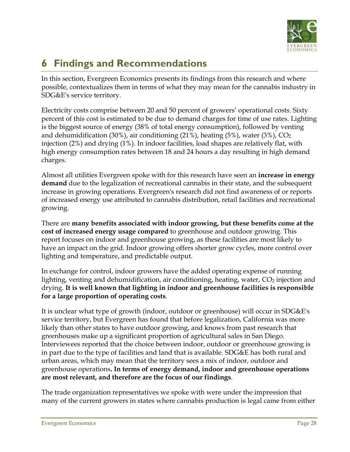

# **6 Findings and Recommendations**

In this section, Evergreen Economics presents its findings from this research and where possible, contextualizes them in terms of what they may mean for the cannabis industry in SDG&E's service territory.

Electricity costs comprise between 20 and 50 percent of growers' operational costs. Sixty percent of this cost is estimated to be due to demand charges for time of use rates. Lighting is the biggest source of energy (38% of total energy consumption), followed by venting and dehumidification (30%), air conditioning (21%), heating (5%), water (3%),  $CO<sub>2</sub>$ injection (2%) and drying (1%). In indoor facilities, load shapes are relatively flat, with high energy consumption rates between 18 and 24 hours a day resulting in high demand charges.

Almost all utilities Evergreen spoke with for this research have seen an **increase in energy demand** due to the legalization of recreational cannabis in their state, and the subsequent increase in growing operations. Evergreen's research did not find awareness of or reports of increased energy use attributed to cannabis distribution, retail facilities and recreational growing.

There are **many benefits associated with indoor growing, but these benefits come at the cost of increased energy usage compared** to greenhouse and outdoor growing. This report focuses on indoor and greenhouse growing, as these facilities are most likely to have an impact on the grid. Indoor growing offers shorter grow cycles, more control over lighting and temperature, and predictable output.

In exchange for control, indoor growers have the added operating expense of running lighting, venting and dehumidification, air conditioning, heating, water,  $CO<sub>2</sub>$  injection and drying. **It is well known that lighting in indoor and greenhouse facilities is responsible for a large proportion of operating costs**.

It is unclear what type of growth (indoor, outdoor or greenhouse) will occur in SDG&E's service territory, but Evergreen has found that before legalization, California was more likely than other states to have outdoor growing, and knows from past research that greenhouses make up a significant proportion of agricultural sales in San Diego. Interviewees reported that the choice between indoor, outdoor or greenhouse growing is in part due to the type of facilities and land that is available. SDG&E has both rural and urban areas, which may mean that the territory sees a mix of indoor, outdoor and greenhouse operations**. In terms of energy demand, indoor and greenhouse operations are most relevant, and therefore are the focus of our findings**.

The trade organization representatives we spoke with were under the impression that many of the current growers in states where cannabis production is legal came from either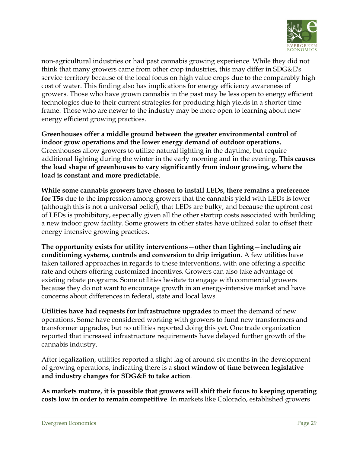

non-agricultural industries or had past cannabis growing experience. While they did not think that many growers came from other crop industries, this may differ in SDG&E's service territory because of the local focus on high value crops due to the comparably high cost of water. This finding also has implications for energy efficiency awareness of growers. Those who have grown cannabis in the past may be less open to energy efficient technologies due to their current strategies for producing high yields in a shorter time frame. Those who are newer to the industry may be more open to learning about new energy efficient growing practices.

**Greenhouses offer a middle ground between the greater environmental control of indoor grow operations and the lower energy demand of outdoor operations.**  Greenhouses allow growers to utilize natural lighting in the daytime, but require additional lighting during the winter in the early morning and in the evening. **This causes the load shape of greenhouses to vary significantly from indoor growing, where the load is constant and more predictable**.

**While some cannabis growers have chosen to install LEDs, there remains a preference for T5s** due to the impression among growers that the cannabis yield with LEDs is lower (although this is not a universal belief), that LEDs are bulky, and because the upfront cost of LEDs is prohibitory, especially given all the other startup costs associated with building a new indoor grow facility. Some growers in other states have utilized solar to offset their energy intensive growing practices.

**The opportunity exists for utility interventions**—**other than lighting**—**including air conditioning systems, controls and conversion to drip irrigation**. A few utilities have taken tailored approaches in regards to these interventions, with one offering a specific rate and others offering customized incentives. Growers can also take advantage of existing rebate programs. Some utilities hesitate to engage with commercial growers because they do not want to encourage growth in an energy-intensive market and have concerns about differences in federal, state and local laws.

**Utilities have had requests for infrastructure upgrades** to meet the demand of new operations. Some have considered working with growers to fund new transformers and transformer upgrades, but no utilities reported doing this yet. One trade organization reported that increased infrastructure requirements have delayed further growth of the cannabis industry.

After legalization, utilities reported a slight lag of around six months in the development of growing operations, indicating there is a **short window of time between legislative and industry changes for SDG&E to take action**.

**As markets mature, it is possible that growers will shift their focus to keeping operating costs low in order to remain competitive**. In markets like Colorado, established growers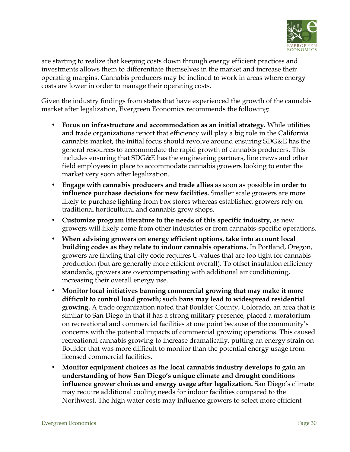

are starting to realize that keeping costs down through energy efficient practices and investments allows them to differentiate themselves in the market and increase their operating margins. Cannabis producers may be inclined to work in areas where energy costs are lower in order to manage their operating costs.

Given the industry findings from states that have experienced the growth of the cannabis market after legalization, Evergreen Economics recommends the following:

- **Focus on infrastructure and accommodation as an initial strategy.** While utilities and trade organizations report that efficiency will play a big role in the California cannabis market, the initial focus should revolve around ensuring SDG&E has the general resources to accommodate the rapid growth of cannabis producers. This includes ensuring that SDG&E has the engineering partners, line crews and other field employees in place to accommodate cannabis growers looking to enter the market very soon after legalization.
- **Engage with cannabis producers and trade allies** as soon as possible **in order to influence purchase decisions for new facilities.** Smaller scale growers are more likely to purchase lighting from box stores whereas established growers rely on traditional horticultural and cannabis grow shops.
- **Customize program literature to the needs of this specific industry,** as new growers will likely come from other industries or from cannabis-specific operations.
- **When advising growers on energy efficient options, take into account local building codes as they relate to indoor cannabis operations.** In Portland, Oregon, growers are finding that city code requires U-values that are too tight for cannabis production (but are generally more efficient overall). To offset insulation efficiency standards, growers are overcompensating with additional air conditioning, increasing their overall energy use.
- **Monitor local initiatives banning commercial growing that may make it more difficult to control load growth; such bans may lead to widespread residential growing.** A trade organization noted that Boulder County, Colorado, an area that is similar to San Diego in that it has a strong military presence, placed a moratorium on recreational and commercial facilities at one point because of the community's concerns with the potential impacts of commercial growing operations. This caused recreational cannabis growing to increase dramatically, putting an energy strain on Boulder that was more difficult to monitor than the potential energy usage from licensed commercial facilities.
- **Monitor equipment choices as the local cannabis industry develops to gain an understanding of how San Diego's unique climate and drought conditions influence grower choices and energy usage after legalization.** San Diego's climate may require additional cooling needs for indoor facilities compared to the Northwest. The high water costs may influence growers to select more efficient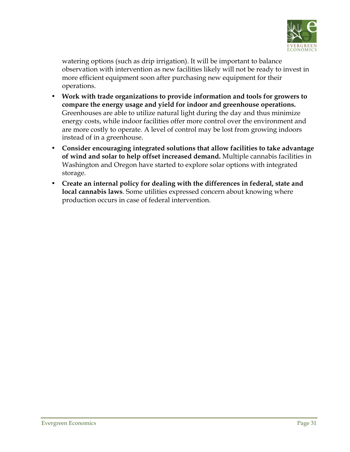

watering options (such as drip irrigation). It will be important to balance observation with intervention as new facilities likely will not be ready to invest in more efficient equipment soon after purchasing new equipment for their operations.

- **Work with trade organizations to provide information and tools for growers to compare the energy usage and yield for indoor and greenhouse operations.**  Greenhouses are able to utilize natural light during the day and thus minimize energy costs, while indoor facilities offer more control over the environment and are more costly to operate. A level of control may be lost from growing indoors instead of in a greenhouse.
- **Consider encouraging integrated solutions that allow facilities to take advantage of wind and solar to help offset increased demand.** Multiple cannabis facilities in Washington and Oregon have started to explore solar options with integrated storage.
- **Create an internal policy for dealing with the differences in federal, state and local cannabis laws**. Some utilities expressed concern about knowing where production occurs in case of federal intervention.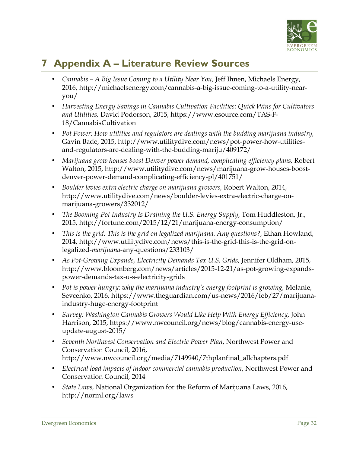

# **7 Appendix A – Literature Review Sources**

- *Cannabis – A Big Issue Coming to a Utility Near You,* Jeff Ihnen, Michaels Energy, 2016, http://michaelsenergy.com/cannabis-a-big-issue-coming-to-a-utility-nearyou/
- *Harvesting Energy Savings in Cannabis Cultivation Facilities: Quick Wins for Cultivators and Utilities,* David Podorson, 2015, https://www.esource.com/TAS-F-18/CannabisCultivation
- *Pot Power: How utilities and regulators are dealings with the budding marijuana industry,*  Gavin Bade, 2015, http://www.utilitydive.com/news/pot-power-how-utilitiesand-regulators-are-dealing-with-the-budding-mariju/409172/
- Marijuana grow houses boost Denver power demand, complicating efficiency plans, Robert Walton, 2015, http://www.utilitydive.com/news/marijuana-grow-houses-boostdenver-power-demand-complicating-efficiency-pl/401751/
- *Boulder levies extra electric charge on marijuana growers,* Robert Walton, 2014, http://www.utilitydive.com/news/boulder-levies-extra-electric-charge-onmarijuana-growers/332012/
- *The Booming Pot Industry Is Draining the U.S. Energy Supply*, Tom Huddleston, Jr., 2015, http://fortune.com/2015/12/21/marijuana-energy-consumption/
- *This is the grid. This is the grid on legalized marijuana. Any questions?*, Ethan Howland, 2014, http://www.utilitydive.com/news/this-is-the-grid-this-is-the-grid-onlegalized-*marijuana*-any-questions/233103/
- As Pot-Growing Expands, Electricity Demands Tax U.S. Grids, Jennifer Oldham, 2015, http://www.bloomberg.com/news/articles/2015-12-21/as-pot-growing-expandspower-demands-tax-u-s-electricity-grids
- Pot is power hungry: why the marijuana industry's energy footprint is growing, Melanie, Sevcenko, 2016, https://www.theguardian.com/us-news/2016/feb/27/marijuanaindustry-huge-energy-footprint
- *Survey: Washington Cannabis Growers Would Like Help With Energy Efficiency*, John Harrison, 2015, https://www.nwcouncil.org/news/blog/cannabis-energy-useupdate-august-2015/
- *Seventh Northwest Conservation and Electric Power Plan*, Northwest Power and Conservation Council, 2016, http://www.nwcouncil.org/media/7149940/7thplanfinal\_allchapters.pdf
- *Electrical load impacts of indoor commercial cannabis production*, Northwest Power and Conservation Council, 2014
- *State Laws,* National Organization for the Reform of Marijuana Laws, 2016, http://norml.org/laws